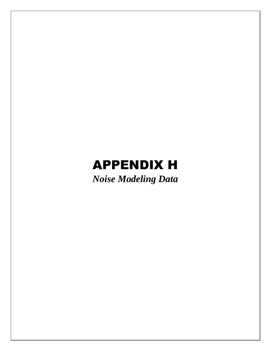## APPENDIX H

*Noise Modeling Data*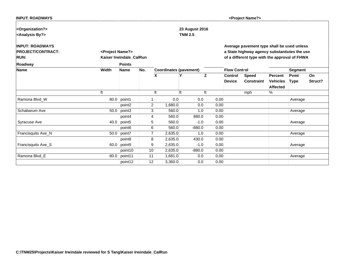| <b>INPUT: ROADWAYS</b> |
|------------------------|
|------------------------|

**<Project Name?>**

| <organization?></organization?> |                              |                         |                |                               | 23 August 2016 |      |                     |                                               |                 |             |         |
|---------------------------------|------------------------------|-------------------------|----------------|-------------------------------|----------------|------|---------------------|-----------------------------------------------|-----------------|-------------|---------|
| <analysis by?=""></analysis>    |                              |                         |                |                               | <b>TNM 2.5</b> |      |                     |                                               |                 |             |         |
| <b>INPUT: ROADWAYS</b>          |                              |                         |                |                               |                |      |                     | Average pavement type shall be used unless    |                 |             |         |
| <b>PROJECT/CONTRACT:</b>        | <project name?=""></project> |                         |                |                               |                |      |                     | a State highway agency substantiates the use  |                 |             |         |
| <b>RUN:</b>                     |                              | Kaiser Irwindale_CalRun |                |                               |                |      |                     | of a different type with the approval of FHWA |                 |             |         |
| Roadway                         |                              | <b>Points</b>           |                |                               |                |      |                     |                                               |                 |             |         |
| Name                            | Width                        | <b>Name</b>             | No.            | <b>Coordinates (pavement)</b> |                |      | <b>Flow Control</b> |                                               |                 | Segment     |         |
|                                 |                              |                         |                | X                             | Υ              | Iz.  | <b>Control</b>      | <b>Speed</b>                                  | Percent         | Pvmt        | ∣On     |
|                                 |                              |                         |                |                               |                |      | <b>Device</b>       | <b>Constraint</b>                             | <b>Vehicles</b> | <b>Type</b> | Struct? |
|                                 |                              |                         |                |                               |                |      |                     |                                               | <b>Affected</b> |             |         |
|                                 |                              |                         |                | ft                            |                | lft  |                     | mph                                           | %               |             |         |
| Ramona Blvd_W                   | 80.0                         | point1                  |                | 0.0                           | 0.0            | 0.00 |                     |                                               |                 | Average     |         |
|                                 |                              | point2                  | $\overline{2}$ | 1,680.0                       | 0.0            | 0.00 |                     |                                               |                 |             |         |
| Schabarum Ave                   | 50.0                         | point3                  | $\mathbf{3}$   | 560.0                         | 1.0            | 0.00 |                     |                                               |                 | Average     |         |
|                                 |                              | point4                  | 4              | 560.0                         | 880.0          | 0.00 |                     |                                               |                 |             |         |
| Syracuse Ave                    | 40.0                         | point <sub>5</sub>      | 5              | 560.0                         | $-1.0$         | 0.00 |                     |                                               |                 | Average     |         |
|                                 |                              | point <sub>6</sub>      | $6 \mid$       | 560.0                         | $-880.0$       | 0.00 |                     |                                               |                 |             |         |
| Francisquito Ave_N              | 50.0                         | point7                  | 7              | 2,635.0                       | 1.0            | 0.00 |                     |                                               |                 | Average     |         |
|                                 |                              | point <sub>8</sub>      | 8              | 2,635.0                       | 430.0          | 0.00 |                     |                                               |                 |             |         |
| Francisquito Ave_S              | 60.0                         | point9                  | $\overline{9}$ | 2,635.0                       | $-1.0$         | 0.00 |                     |                                               |                 | Average     |         |
|                                 |                              | point10                 | 10             | 2,635.0                       | $-880.0$       | 0.00 |                     |                                               |                 |             |         |
| Ramona Blvd_E                   | 80.0                         | point11                 | 11             | 1,681.0                       | 0.0            | 0.00 |                     |                                               |                 | Average     |         |
|                                 |                              | point12                 | 12             | 3,360.0                       | 0.0            | 0.00 |                     |                                               |                 |             |         |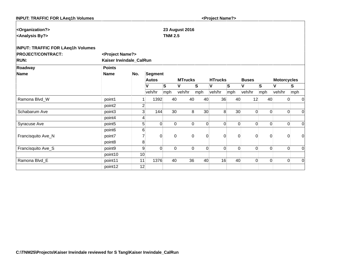| <b>INPUT: TRAFFIC FOR LAeq1h Volumes</b> |                              |                |              |                 |                       |                | <project name?=""></project> |                 |                |                |                    |                |
|------------------------------------------|------------------------------|----------------|--------------|-----------------|-----------------------|----------------|------------------------------|-----------------|----------------|----------------|--------------------|----------------|
| <organization?></organization?>          |                              |                |              |                 | <b>23 August 2016</b> |                |                              |                 |                |                |                    |                |
| <analysis by?=""></analysis>             |                              |                |              | <b>TNM 2.5</b>  |                       |                |                              |                 |                |                |                    |                |
| <b>INPUT: TRAFFIC FOR LAeq1h Volumes</b> |                              |                |              |                 |                       |                |                              |                 |                |                |                    |                |
| <b>PROJECT/CONTRACT:</b>                 | <project name?=""></project> |                |              |                 |                       |                |                              |                 |                |                |                    |                |
| <b>RUN:</b>                              | Kaiser Irwindale_CalRun      |                |              |                 |                       |                |                              |                 |                |                |                    |                |
| Roadway                                  | <b>Points</b>                |                |              |                 |                       |                |                              |                 |                |                |                    |                |
| <b>Name</b>                              | <b>Name</b>                  | No.            | Segment      |                 |                       |                |                              |                 |                |                |                    |                |
|                                          |                              |                | <b>Autos</b> |                 | <b>MTrucks</b>        |                | <b>HTrucks</b>               |                 | <b>Buses</b>   |                | <b>Motorcycles</b> |                |
|                                          |                              |                | V            | lS.             | V                     | S              | ١v                           | S               | V              | ls.            | V                  | $\vert$ S      |
|                                          |                              |                | veh/hr       | mph             | veh/hr                | mph            | veh/hr                       | mph             | veh/hr         | mph            | veh/hr             | mph            |
| Ramona Blvd_W                            | point1                       |                | 1392         | 40              | 40                    | 40             | 36                           | 40              | 12             | 40             | 0                  | $\overline{0}$ |
|                                          | point2                       | $\overline{2}$ |              |                 |                       |                |                              |                 |                |                |                    |                |
| Schabarum Ave                            | point3                       | 3              | 144          | 30 <sup>°</sup> | 8 <sup>1</sup>        | 30             | 8 <sup>1</sup>               | 30 <sup>°</sup> | $\Omega$       | $\Omega$       | 0                  | $\Omega$       |
|                                          | point4                       | 4              |              |                 |                       |                |                              |                 |                |                |                    |                |
| Syracuse Ave                             | point <sub>5</sub>           | 5              | $\Omega$     | $\Omega$        | $\Omega$              | $\Omega$       | $\overline{0}$               | $\Omega$        | $\Omega$       | $\Omega$       | 0                  | $\overline{0}$ |
|                                          | point <sub>6</sub>           | 6              |              |                 |                       |                |                              |                 |                |                |                    |                |
| Francisquito Ave_N                       | point7                       | $\overline{7}$ | $\Omega$     | $\Omega$        | $\overline{0}$        | $\overline{0}$ | $\overline{0}$               | $\Omega$        | $\overline{0}$ | 0              | 0                  | $\mathbf 0$    |
|                                          | point8                       | 8              |              |                 |                       |                |                              |                 |                |                |                    |                |
| Francisquito Ave_S                       | point9                       | 9              | $\Omega$     | $\Omega$        | $\Omega$              | $\Omega$       | $\overline{0}$               | $\Omega$        | $\Omega$       | 0              | 0                  | $\Omega$       |
|                                          | point10                      | 10             |              |                 |                       |                |                              |                 |                |                |                    |                |
| Ramona Blvd_E                            | point11                      | 11             | 1376         | 40              | 36                    | 40             | 16                           | 40              | $\Omega$       | $\overline{0}$ | $\boldsymbol{0}$   | $\overline{0}$ |
|                                          | point12                      | 12             |              |                 |                       |                |                              |                 |                |                |                    |                |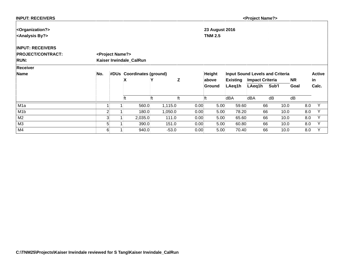| <b>INPUT: RECEIVERS</b>         |                              |                           |     |         |      |                       |                 | <project name?=""></project> |                                        |           |               |
|---------------------------------|------------------------------|---------------------------|-----|---------|------|-----------------------|-----------------|------------------------------|----------------------------------------|-----------|---------------|
| <organization?></organization?> |                              |                           |     |         |      | <b>23 August 2016</b> |                 |                              |                                        |           |               |
| <analysis by?=""></analysis>    |                              |                           |     |         |      | <b>TNM 2.5</b>        |                 |                              |                                        |           |               |
| <b>INPUT: RECEIVERS</b>         |                              |                           |     |         |      |                       |                 |                              |                                        |           |               |
| <b>PROJECT/CONTRACT:</b>        | <project name?=""></project> |                           |     |         |      |                       |                 |                              |                                        |           |               |
| <b>RUN:</b>                     |                              | Kaiser Irwindale_CalRun   |     |         |      |                       |                 |                              |                                        |           |               |
| Receiver                        |                              |                           |     |         |      |                       |                 |                              |                                        |           |               |
| Name                            | No.                          | #DUs Coordinates (ground) |     |         |      | <b>Height</b>         |                 |                              | <b>Input Sound Levels and Criteria</b> |           | <b>Active</b> |
|                                 |                              | X                         |     | Z       |      | above                 | <b>Existing</b> | <b>Impact Criteria</b>       |                                        | <b>NR</b> | in            |
|                                 |                              |                           |     |         |      | Ground                | LAeq1h          | LAeq1h                       | Sub'l                                  | Goal      | Calc.         |
|                                 |                              | ft                        | lft | ft      |      | ft                    | dBA             | dBA                          | dB                                     | dB        |               |
| M <sub>1</sub> a                |                              | 560.0                     |     | 1,115.0 | 0.00 | 5.00                  | 59.60           | 66                           | 10.0                                   | 8.0       | Υ             |
| M <sub>1</sub> b                | $\overline{c}$               | 180.0                     |     | 1,050.0 | 0.00 | 5.00                  | 78.20           | 66                           | 10.0                                   | 8.0       | Y             |
| M <sub>2</sub>                  | 3                            | 2,035.0                   |     | 111.0   | 0.00 | 5.00                  | 65.60           | 66                           | 10.0                                   | 8.0       | Υ             |
| M3                              | 5                            | 390.0                     |     | 151.0   | 0.00 | 5.00                  | 60.80           | 66                           | 10.0                                   | 8.0       | Y             |
| M4                              | 6 <sup>1</sup>               | 940.0                     |     | $-53.0$ | 0.00 | 5.00                  | 70.40           | 66                           | 10.0                                   | 8.0       | Υ             |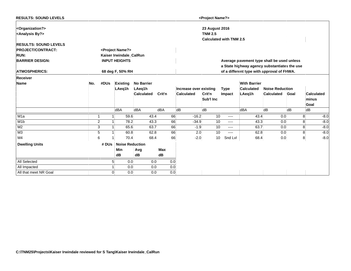| <b>RESULTS: SOUND LEVELS</b>                                     |     |                |                              |                   |            |     |                        | <project name?=""></project>            |             |                                              |                        |      |       |                   |
|------------------------------------------------------------------|-----|----------------|------------------------------|-------------------|------------|-----|------------------------|-----------------------------------------|-------------|----------------------------------------------|------------------------|------|-------|-------------------|
| <organization?><br/><analysis by?=""></analysis></organization?> |     |                |                              |                   |            |     |                        | <b>23 August 2016</b><br><b>TNM 2.5</b> |             |                                              |                        |      |       |                   |
|                                                                  |     |                |                              |                   |            |     |                        | <b>Calculated with TNM 2.5</b>          |             |                                              |                        |      |       |                   |
| <b>RESULTS: SOUND LEVELS</b>                                     |     |                |                              |                   |            |     |                        |                                         |             |                                              |                        |      |       |                   |
| <b>PROJECT/CONTRACT:</b>                                         |     |                | <project name?=""></project> |                   |            |     |                        |                                         |             |                                              |                        |      |       |                   |
| <b>RUN:</b>                                                      |     |                | Kaiser Irwindale_CalRun      |                   |            |     |                        |                                         |             |                                              |                        |      |       |                   |
| <b>BARRIER DESIGN:</b>                                           |     |                | <b>INPUT HEIGHTS</b>         |                   |            |     |                        |                                         |             | Average pavement type shall be used unless   |                        |      |       |                   |
|                                                                  |     |                |                              |                   |            |     |                        |                                         |             | a State highway agency substantiates the use |                        |      |       |                   |
| <b>ATMOSPHERICS:</b>                                             |     |                | 68 deg F, 50% RH             |                   |            |     |                        |                                         |             | of a different type with approval of FHWA.   |                        |      |       |                   |
| <b>Receiver</b>                                                  |     |                |                              |                   |            |     |                        |                                         |             |                                              |                        |      |       |                   |
| <b>Name</b>                                                      | No. | #DUs           | <b>Existing</b>              | <b>No Barrier</b> |            |     |                        |                                         |             | <b>With Barrier</b>                          |                        |      |       |                   |
|                                                                  |     |                | LAeq1h                       | LAeg1h            |            |     | Increase over existing |                                         | <b>Type</b> | <b>Calculated</b>                            | <b>Noise Reduction</b> |      |       |                   |
|                                                                  |     |                |                              | <b>Calculated</b> | Crit'n     |     | <b>Calculated</b>      | Crit'n                                  | Impact      | LAeq1h                                       | <b>Calculated</b>      | Goal |       | <b>Calculated</b> |
|                                                                  |     |                |                              |                   |            |     |                        | Sub'l Inc                               |             |                                              |                        |      | minus |                   |
|                                                                  |     |                |                              |                   |            |     |                        |                                         |             |                                              |                        |      | Goal  |                   |
|                                                                  |     |                | dBA                          | dBA               | dBA        |     | dB                     | dB                                      |             | dBA                                          | dB                     | dB   | dB    |                   |
| M <sub>1</sub> a                                                 |     |                | 59.6                         | 43.4              |            | 66  | $-16.2$                | 10                                      | ----        | 43.4                                         | 0.0                    |      | 8     | $-8.0$            |
| M <sub>1</sub> b                                                 |     | $\overline{2}$ | 78.2                         | 43.3              |            | 66  | $-34.9$                | 10                                      | ----        | 43.3                                         | 0.0                    |      | 8     | $-8.0$            |
| M <sub>2</sub>                                                   |     | 3              | 65.6                         | 63.7              |            | 66  | $-1.9$                 | 10                                      | ----        | 63.7                                         | 0.0                    |      | 8     | $-8.0$            |
| M <sub>3</sub>                                                   |     | 5              | 60.8                         | 62.8              |            | 66  | 2.0                    | 10                                      | ----        | 62.8                                         | 0.0                    |      | 8     | $-8.0$            |
| M4                                                               |     | 6 <sup>1</sup> | 70.4                         | 68.4              |            | 66  | $-2.0$                 | 10                                      | Snd Lvl     | 68.4                                         | 0.0                    |      | 8     | $-8.0$            |
| <b>Dwelling Units</b>                                            |     | # DUs          | <b>Noise Reduction</b>       |                   |            |     |                        |                                         |             |                                              |                        |      |       |                   |
|                                                                  |     |                | Min                          | Avg               | <b>Max</b> |     |                        |                                         |             |                                              |                        |      |       |                   |
|                                                                  |     |                | dB                           | dB                | dB         |     |                        |                                         |             |                                              |                        |      |       |                   |
| All Selected                                                     |     | 5 <sup>1</sup> | 0.0                          |                   | 0.0        | 0.0 |                        |                                         |             |                                              |                        |      |       |                   |
| All Impacted                                                     |     |                | 0.0                          | 0.0               |            | 0.0 |                        |                                         |             |                                              |                        |      |       |                   |
| All that meet NR Goal                                            |     | $\Omega$       | 0.0                          | 0.0               |            | 0.0 |                        |                                         |             |                                              |                        |      |       |                   |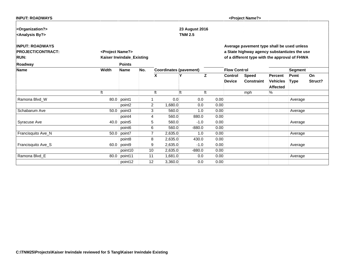| <b>INPUT: ROADWAYS</b> |
|------------------------|

**<Project Name?>**

|       |                    |                                                                                                                                                               |                           | <b>TNM 2.5</b>                                                 |                                                                                                                                                       |                                                                                                                        |                                                                                              |                     |             |                                                                                                                                                        |
|-------|--------------------|---------------------------------------------------------------------------------------------------------------------------------------------------------------|---------------------------|----------------------------------------------------------------|-------------------------------------------------------------------------------------------------------------------------------------------------------|------------------------------------------------------------------------------------------------------------------------|----------------------------------------------------------------------------------------------|---------------------|-------------|--------------------------------------------------------------------------------------------------------------------------------------------------------|
|       |                    |                                                                                                                                                               |                           |                                                                |                                                                                                                                                       |                                                                                                                        |                                                                                              |                     |             |                                                                                                                                                        |
|       |                    |                                                                                                                                                               |                           |                                                                |                                                                                                                                                       |                                                                                                                        |                                                                                              |                     |             |                                                                                                                                                        |
|       |                    |                                                                                                                                                               |                           |                                                                |                                                                                                                                                       |                                                                                                                        |                                                                                              |                     |             |                                                                                                                                                        |
|       |                    |                                                                                                                                                               |                           |                                                                |                                                                                                                                                       |                                                                                                                        |                                                                                              |                     |             |                                                                                                                                                        |
|       | <b>Points</b>      |                                                                                                                                                               |                           |                                                                |                                                                                                                                                       |                                                                                                                        |                                                                                              |                     |             |                                                                                                                                                        |
| Width | <b>Name</b>        | No.                                                                                                                                                           |                           |                                                                |                                                                                                                                                       |                                                                                                                        |                                                                                              |                     |             |                                                                                                                                                        |
|       |                    |                                                                                                                                                               | x                         | Υ                                                              | ΙZ                                                                                                                                                    | <b>Control</b>                                                                                                         | <b>Speed</b>                                                                                 | Percent             | Pvmt        | <b>On</b>                                                                                                                                              |
|       |                    |                                                                                                                                                               |                           |                                                                |                                                                                                                                                       | <b>Device</b>                                                                                                          | <b>Constraint</b>                                                                            | <b>Vehicles</b>     | <b>Type</b> | Struct?                                                                                                                                                |
|       |                    |                                                                                                                                                               |                           |                                                                |                                                                                                                                                       |                                                                                                                        |                                                                                              | <b>Affected</b>     |             |                                                                                                                                                        |
|       |                    |                                                                                                                                                               | lft                       | ft                                                             | lft                                                                                                                                                   |                                                                                                                        | mph                                                                                          | %                   |             |                                                                                                                                                        |
|       |                    |                                                                                                                                                               |                           |                                                                |                                                                                                                                                       |                                                                                                                        |                                                                                              |                     | Average     |                                                                                                                                                        |
|       | point2             |                                                                                                                                                               |                           |                                                                |                                                                                                                                                       |                                                                                                                        |                                                                                              |                     |             |                                                                                                                                                        |
|       | point3             |                                                                                                                                                               |                           |                                                                |                                                                                                                                                       |                                                                                                                        |                                                                                              |                     | Average     |                                                                                                                                                        |
|       | point4             |                                                                                                                                                               |                           |                                                                |                                                                                                                                                       |                                                                                                                        |                                                                                              |                     |             |                                                                                                                                                        |
|       |                    |                                                                                                                                                               |                           |                                                                |                                                                                                                                                       |                                                                                                                        |                                                                                              |                     | Average     |                                                                                                                                                        |
|       | point <sub>6</sub> |                                                                                                                                                               |                           |                                                                |                                                                                                                                                       |                                                                                                                        |                                                                                              |                     |             |                                                                                                                                                        |
|       |                    |                                                                                                                                                               |                           |                                                                |                                                                                                                                                       |                                                                                                                        |                                                                                              |                     | Average     |                                                                                                                                                        |
|       | point <sub>8</sub> |                                                                                                                                                               |                           |                                                                |                                                                                                                                                       |                                                                                                                        |                                                                                              |                     |             |                                                                                                                                                        |
|       |                    |                                                                                                                                                               |                           |                                                                |                                                                                                                                                       |                                                                                                                        |                                                                                              |                     | Average     |                                                                                                                                                        |
|       | point10            |                                                                                                                                                               |                           |                                                                |                                                                                                                                                       |                                                                                                                        |                                                                                              |                     |             |                                                                                                                                                        |
|       |                    |                                                                                                                                                               |                           |                                                                |                                                                                                                                                       |                                                                                                                        |                                                                                              |                     | Average     |                                                                                                                                                        |
|       | point12            |                                                                                                                                                               |                           |                                                                |                                                                                                                                                       |                                                                                                                        |                                                                                              |                     |             |                                                                                                                                                        |
|       |                    | <project name?=""><br/><math>80.0</math> point1<br/>50.0<br/>40.0 point5<br/><math>50.0</math> point7<br/><math>60.0</math> point9<br/>80.0 point11</project> | Kaiser Irwindale_Existing | 2<br>3<br>Δ<br>5<br>6<br>8<br>9<br>10 <sup>1</sup><br>11<br>12 | <b>Coordinates (pavement)</b><br>0.0<br>1,680.0<br>560.0<br>560.0<br>560.0<br>560.0<br>2,635.0<br>2,635.0<br>2,635.0<br>2,635.0<br>1,681.0<br>3,360.0 | 23 August 2016<br>0.0<br>0.0<br>1.0<br>880.0<br>$-1.0$<br>$-880.0$<br>1.0<br>430.0<br>$-1.0$<br>$-880.0$<br>0.0<br>0.0 | 0.00<br>0.00<br>0.00<br>0.00<br>0.00<br>0.00<br>0.00<br>0.00<br>0.00<br>0.00<br>0.00<br>0.00 | <b>Flow Control</b> |             | Average pavement type shall be used unless<br>a State highway agency substantiates the use<br>of a different type with the approval of FHWA<br>Segment |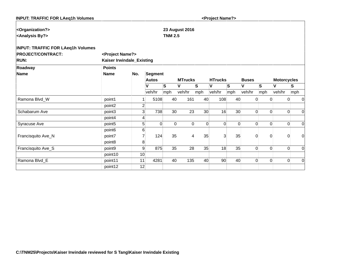| <b>INPUT: TRAFFIC FOR LAeq1h Volumes</b> |                              |                |              |                 |                       |          | <project name?=""></project> |                 |                |                            |                    |                |
|------------------------------------------|------------------------------|----------------|--------------|-----------------|-----------------------|----------|------------------------------|-----------------|----------------|----------------------------|--------------------|----------------|
| <organization?></organization?>          |                              |                |              |                 | <b>23 August 2016</b> |          |                              |                 |                |                            |                    |                |
| <analysis by?=""></analysis>             |                              |                |              | <b>TNM 2.5</b>  |                       |          |                              |                 |                |                            |                    |                |
| <b>INPUT: TRAFFIC FOR LAeq1h Volumes</b> |                              |                |              |                 |                       |          |                              |                 |                |                            |                    |                |
| <b>PROJECT/CONTRACT:</b>                 | <project name?=""></project> |                |              |                 |                       |          |                              |                 |                |                            |                    |                |
| <b>RUN:</b>                              | Kaiser Irwindale_Existing    |                |              |                 |                       |          |                              |                 |                |                            |                    |                |
| Roadway                                  | <b>Points</b>                |                |              |                 |                       |          |                              |                 |                |                            |                    |                |
| <b>Name</b>                              | <b>Name</b>                  | No.            | Segment      |                 |                       |          |                              |                 |                |                            |                    |                |
|                                          |                              |                | <b>Autos</b> |                 | <b>MTrucks</b>        |          | <b>HTrucks</b>               |                 | <b>Buses</b>   |                            | <b>Motorcycles</b> |                |
|                                          |                              |                | V            | lS.             | V                     | lS.      | ١v                           | S               | V              | ls.                        | V                  | $\vert$ S      |
|                                          |                              |                | veh/hr       | mph             | veh/hr                | mph      | veh/hr                       | mph             | veh/hr         | mph                        | veh/hr             | mph            |
| Ramona Blvd_W                            | point1                       |                | 5108         | 40              | 161                   | 40       | 108                          | 40              | $\overline{0}$ | $\overline{0}$             | 0                  | $\overline{0}$ |
|                                          | point2                       | $\overline{2}$ |              |                 |                       |          |                              |                 |                |                            |                    |                |
| Schabarum Ave                            | point3                       | 3              | 738          | 30 <sup>°</sup> | 23                    | 30       | 16                           | 30 <sup>°</sup> | $\Omega$       | $\Omega$                   | $\Omega$           | $\Omega$       |
|                                          | point4                       | 4              |              |                 |                       |          |                              |                 |                |                            |                    |                |
| Syracuse Ave                             | point <sub>5</sub>           | 5              | $\Omega$     | $\Omega$        | $\Omega$              | $\Omega$ | $\overline{0}$               | $\Omega$        | $\Omega$       | $\Omega$                   | 0                  | $\Omega$       |
|                                          | point <sub>6</sub>           | 6              |              |                 |                       |          |                              |                 |                |                            |                    |                |
| Francisquito Ave_N                       | point7                       | $\overline{7}$ | 124          | 35              | $\vert$               | 35       | $\overline{3}$               | 35              | $\overline{0}$ | 0                          | 0                  | $\Omega$       |
|                                          | point8                       | 8              |              |                 |                       |          |                              |                 |                |                            |                    |                |
| Francisquito Ave_S                       | point9                       | 9              | 875          | 35              | 28                    | 35       | 18                           | 35              | $\overline{0}$ | 0                          | 0                  | $\Omega$       |
|                                          | point10                      | 10             |              |                 |                       |          |                              |                 |                |                            |                    |                |
| Ramona Blvd_E                            | point11                      | 11             | 4281         | 40              | 135                   | 40       | 90                           | 40              |                | $\Omega$<br>$\overline{0}$ | $\boldsymbol{0}$   | $\overline{0}$ |
|                                          | point12                      | 12             |              |                 |                       |          |                              |                 |                |                            |                    |                |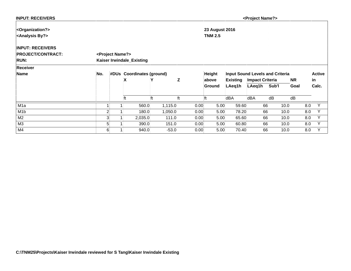| <b>INPUT: RECEIVERS</b>         |                |                              |    |                           |         |      |                       |      |                                        | <project name?=""></project> |       |      |           |               |
|---------------------------------|----------------|------------------------------|----|---------------------------|---------|------|-----------------------|------|----------------------------------------|------------------------------|-------|------|-----------|---------------|
| <organization?></organization?> |                |                              |    |                           |         |      | <b>23 August 2016</b> |      |                                        |                              |       |      |           |               |
| <analysis by?=""></analysis>    |                |                              |    |                           |         |      | <b>TNM 2.5</b>        |      |                                        |                              |       |      |           |               |
| <b>INPUT: RECEIVERS</b>         |                |                              |    |                           |         |      |                       |      |                                        |                              |       |      |           |               |
| <b>PROJECT/CONTRACT:</b>        |                | <project name?=""></project> |    |                           |         |      |                       |      |                                        |                              |       |      |           |               |
| <b>RUN:</b>                     |                |                              |    | Kaiser Irwindale_Existing |         |      |                       |      |                                        |                              |       |      |           |               |
| Receiver                        |                |                              |    |                           |         |      |                       |      |                                        |                              |       |      |           |               |
| Name                            | No.            |                              |    | #DUs Coordinates (ground) |         |      | <b>Height</b>         |      | <b>Input Sound Levels and Criteria</b> |                              |       |      |           | <b>Active</b> |
|                                 |                |                              | X  |                           |         | Z    | above                 |      | <b>Existing</b>                        | <b>Impact Criteria</b>       |       |      | <b>NR</b> | lin           |
|                                 |                |                              |    |                           |         |      | Ground                |      | LAeq1h                                 | LAeg1h                       | Sub'l |      | Goal      | Calc.         |
|                                 |                |                              | ft | lft                       |         | ft   |                       |      | dBA                                    | dBA                          | dB    |      | dB        |               |
| M <sub>1</sub> a                |                |                              |    | 560.0                     | 1,115.0 | 0.00 |                       | 5.00 | 59.60                                  |                              | 66    | 10.0 | 8.0       | Y             |
| M <sub>1</sub> b                | $\overline{2}$ |                              |    | 180.0                     | 1,050.0 | 0.00 |                       | 5.00 | 78.20                                  |                              | 66    | 10.0 | 8.0       | Y             |
| M <sub>2</sub>                  | 3              |                              |    | 2,035.0                   | 111.0   | 0.00 |                       | 5.00 | 65.60                                  |                              | 66    | 10.0 | 8.0       | Υ             |
| M <sub>3</sub>                  | 5              |                              |    | 390.0                     | 151.0   | 0.00 |                       | 5.00 | 60.80                                  |                              | 66    | 10.0 | 8.0       | Y             |
| M4                              | 6 <sup>1</sup> |                              |    | 940.0                     | $-53.0$ | 0.00 |                       | 5.00 | 70.40                                  |                              | 66    | 10.0 | 8.0       | v             |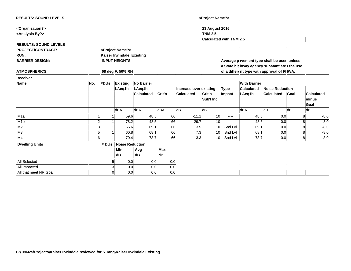| <b>RESULTS: SOUND LEVELS</b>                                     |                |                |                              |                   |            |     |                        | <project name?=""></project>            |             |                                              |                        |      |                   |        |
|------------------------------------------------------------------|----------------|----------------|------------------------------|-------------------|------------|-----|------------------------|-----------------------------------------|-------------|----------------------------------------------|------------------------|------|-------------------|--------|
| <organization?><br/><analysis by?=""></analysis></organization?> |                |                |                              |                   |            |     |                        | <b>23 August 2016</b><br><b>TNM 2.5</b> |             |                                              |                        |      |                   |        |
|                                                                  |                |                |                              |                   |            |     |                        | <b>Calculated with TNM 2.5</b>          |             |                                              |                        |      |                   |        |
| <b>RESULTS: SOUND LEVELS</b>                                     |                |                |                              |                   |            |     |                        |                                         |             |                                              |                        |      |                   |        |
| <b>PROJECT/CONTRACT:</b>                                         |                |                | <project name?=""></project> |                   |            |     |                        |                                         |             |                                              |                        |      |                   |        |
| <b>RUN:</b>                                                      |                |                | Kaiser Irwindale_Existing    |                   |            |     |                        |                                         |             |                                              |                        |      |                   |        |
| <b>BARRIER DESIGN:</b>                                           |                |                | <b>INPUT HEIGHTS</b>         |                   |            |     |                        |                                         |             | Average pavement type shall be used unless   |                        |      |                   |        |
|                                                                  |                |                |                              |                   |            |     |                        |                                         |             | a State highway agency substantiates the use |                        |      |                   |        |
| <b>ATMOSPHERICS:</b>                                             |                |                | 68 deg F, 50% RH             |                   |            |     |                        |                                         |             | of a different type with approval of FHWA.   |                        |      |                   |        |
| <b>Receiver</b>                                                  |                |                |                              |                   |            |     |                        |                                         |             |                                              |                        |      |                   |        |
| <b>Name</b>                                                      | No.            | #DUs           | <b>Existing</b>              | <b>No Barrier</b> |            |     |                        |                                         |             | <b>With Barrier</b>                          |                        |      |                   |        |
|                                                                  |                |                | LAeg1h                       | LAeg1h            |            |     | Increase over existing |                                         | <b>Type</b> | <b>Calculated</b>                            | <b>Noise Reduction</b> |      |                   |        |
|                                                                  |                |                |                              | <b>Calculated</b> | Crit'n     |     | <b>Calculated</b>      | Crit'n                                  | Impact      | LAeq1h                                       | <b>Calculated</b>      | Goal | <b>Calculated</b> |        |
|                                                                  |                |                |                              |                   |            |     |                        | Sub'l Inc                               |             |                                              |                        |      | minus             |        |
|                                                                  |                |                |                              |                   |            |     |                        |                                         |             |                                              |                        |      | Goal              |        |
|                                                                  |                |                | dBA                          | dBA               | dBA        |     | dB                     | dB                                      |             | dBA                                          | dB                     | dB   | dB                |        |
| M <sub>1</sub> a                                                 |                |                | 59.6                         | 48.5              |            | 66  | $-11.1$                | 10                                      | ----        | 48.5                                         | 0.0                    |      | 8                 | $-8.0$ |
| M <sub>1</sub> b                                                 | $\overline{2}$ |                | 78.2                         | 48.5              |            | 66  | $-29.7$                | 10                                      | ----        | 48.5                                         | 0.0                    |      | 8                 | $-8.0$ |
| M <sub>2</sub>                                                   | 3              |                | 65.6                         | 69.1              |            | 66  | 3.5                    | 10                                      | Snd Lvl     | 69.1                                         | 0.0                    |      | 8                 | $-8.0$ |
| M <sub>3</sub>                                                   | 5              |                | 60.8                         | 68.1              |            | 66  | 7.3                    | 10                                      | Snd Lvl     | 68.1                                         | 0.0                    |      | 8                 | $-8.0$ |
| M4                                                               |                | 6 <sup>1</sup> | 70.4                         | 73.7              |            | 66  | 3.3                    | 10                                      | Snd Lvl     | 73.7                                         | 0.0                    |      | 8                 | $-8.0$ |
| <b>Dwelling Units</b>                                            |                | # DUs          | <b>Noise Reduction</b>       |                   |            |     |                        |                                         |             |                                              |                        |      |                   |        |
|                                                                  |                |                | Min                          | Avg               | <b>Max</b> |     |                        |                                         |             |                                              |                        |      |                   |        |
|                                                                  |                |                | dB                           | dB                | dB         |     |                        |                                         |             |                                              |                        |      |                   |        |
| All Selected                                                     |                | 5 <sup>1</sup> | 0.0                          |                   | 0.0        | 0.0 |                        |                                         |             |                                              |                        |      |                   |        |
| All Impacted                                                     |                | 3              | 0.0                          |                   | 0.0        | 0.0 |                        |                                         |             |                                              |                        |      |                   |        |
| All that meet NR Goal                                            |                | $\Omega$       | 0.0                          |                   | 0.0        | 0.0 |                        |                                         |             |                                              |                        |      |                   |        |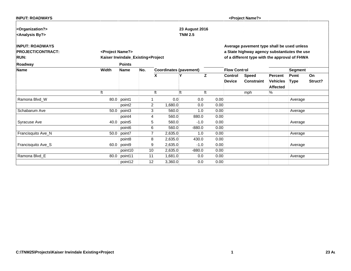| <b>INPUT: ROADWAYS</b>          |                              |                                   |                 |                               |                |      |                     | <project name?=""></project>                  |                 |         |           |
|---------------------------------|------------------------------|-----------------------------------|-----------------|-------------------------------|----------------|------|---------------------|-----------------------------------------------|-----------------|---------|-----------|
| <organization?></organization?> |                              |                                   |                 |                               | 23 August 2016 |      |                     |                                               |                 |         |           |
| <analysis by?=""></analysis>    |                              |                                   |                 |                               | <b>TNM 2.5</b> |      |                     |                                               |                 |         |           |
| <b>INPUT: ROADWAYS</b>          |                              |                                   |                 |                               |                |      |                     | Average pavement type shall be used unless    |                 |         |           |
| <b>PROJECT/CONTRACT:</b>        | <project name?=""></project> |                                   |                 |                               |                |      |                     | a State highway agency substantiates the use  |                 |         |           |
| <b>RUN:</b>                     |                              | Kaiser Irwindale_Existing+Project |                 |                               |                |      |                     | of a different type with the approval of FHWA |                 |         |           |
| Roadway                         |                              | <b>Points</b>                     |                 |                               |                |      |                     |                                               |                 |         |           |
| Name                            | Width                        | <b>Name</b>                       | No.             | <b>Coordinates (pavement)</b> |                |      | <b>Flow Control</b> |                                               |                 | Segment |           |
|                                 |                              |                                   |                 | X                             |                | Ιz   | <b>Control</b>      | <b>Speed</b>                                  | Percent         | Pvmt    | <b>On</b> |
|                                 |                              |                                   |                 |                               |                |      | <b>Device</b>       | <b>Constraint</b>                             | <b>Vehicles</b> | Type    | Struct?   |
|                                 |                              |                                   |                 |                               |                |      |                     |                                               | <b>Affected</b> |         |           |
|                                 | ft                           |                                   |                 | ft                            | ft             | ft   |                     | mph                                           | %               |         |           |
| Ramona Blvd_W                   |                              | 80.0 point1                       |                 | 0.0                           | 0.0            | 0.00 |                     |                                               |                 | Average |           |
|                                 |                              | point2                            | $\overline{2}$  | 1,680.0                       | 0.0            | 0.00 |                     |                                               |                 |         |           |
| Schabarum Ave                   |                              | $50.0$ point3                     | 3               | 560.0                         | 1.0            | 0.00 |                     |                                               |                 | Average |           |
|                                 |                              | point4                            | 4               | 560.0                         | 880.0          | 0.00 |                     |                                               |                 |         |           |
| Syracuse Ave                    |                              | $40.0$ point 5                    | 5               | 560.0                         | $-1.0$         | 0.00 |                     |                                               |                 | Average |           |
|                                 |                              | point6                            | $6 \mid$        | 560.0                         | $-880.0$       | 0.00 |                     |                                               |                 |         |           |
| Francisquito Ave_N              |                              | $50.0$ point7                     |                 | 2,635.0                       | 1.0            | 0.00 |                     |                                               |                 | Average |           |
|                                 |                              | point8                            | 8 <sup>1</sup>  | 2,635.0                       | 430.0          | 0.00 |                     |                                               |                 |         |           |
| Francisquito Ave_S              |                              | 60.0 point9                       | 9               | 2,635.0                       | $-1.0$         | 0.00 |                     |                                               |                 | Average |           |
|                                 |                              | point10                           | 10 <sup>1</sup> | 2,635.0                       | $-880.0$       | 0.00 |                     |                                               |                 |         |           |
| Ramona Blvd_E                   |                              | 80.0 point11                      | 11              | 1,681.0                       | 0.0            | 0.00 |                     |                                               |                 | Average |           |
|                                 |                              | point12                           | 12              | 3,360.0                       | 0.0            | 0.00 |                     |                                               |                 |         |           |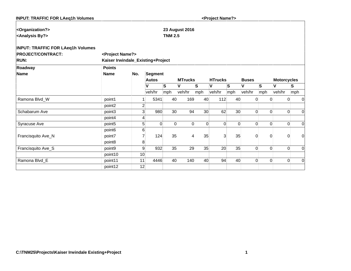| <b>INPUT: TRAFFIC FOR LAeq1h Volumes</b> |                                   |                |              |                 |                       |          | <project name?=""></project> |                 |                |                |                    |             |
|------------------------------------------|-----------------------------------|----------------|--------------|-----------------|-----------------------|----------|------------------------------|-----------------|----------------|----------------|--------------------|-------------|
|                                          |                                   |                |              |                 |                       |          |                              |                 |                |                |                    |             |
| <organization?></organization?>          |                                   |                |              |                 | <b>23 August 2016</b> |          |                              |                 |                |                |                    |             |
| <analysis by?=""></analysis>             |                                   |                |              | <b>TNM 2.5</b>  |                       |          |                              |                 |                |                |                    |             |
| <b>INPUT: TRAFFIC FOR LAeq1h Volumes</b> |                                   |                |              |                 |                       |          |                              |                 |                |                |                    |             |
| <b>PROJECT/CONTRACT:</b>                 | <project name?=""></project>      |                |              |                 |                       |          |                              |                 |                |                |                    |             |
| <b>RUN:</b>                              | Kaiser Irwindale_Existing+Project |                |              |                 |                       |          |                              |                 |                |                |                    |             |
| Roadway                                  | <b>Points</b>                     |                |              |                 |                       |          |                              |                 |                |                |                    |             |
| Name                                     | <b>Name</b>                       | No.            | Segment      |                 |                       |          |                              |                 |                |                |                    |             |
|                                          |                                   |                | <b>Autos</b> |                 | <b>MTrucks</b>        |          | <b>HTrucks</b>               |                 | <b>Buses</b>   |                | <b>Motorcycles</b> |             |
|                                          |                                   |                | V            | lS.             | V                     | ls       | V                            | S               | V              | $\vert$ S      | V                  | ls.         |
|                                          |                                   |                | veh/hr       | mph             | veh/hr                | mph      | veh/hr                       | mph             | veh/hr         | mph            | veh/hr             | mph         |
| Ramona Blvd_W                            | point1                            |                | 5341         | 40              | 169                   | 40       | 112                          | 40              | $\overline{0}$ | $\overline{0}$ | $\Omega$           | 0           |
|                                          | point2                            | $\overline{2}$ |              |                 |                       |          |                              |                 |                |                |                    |             |
| Schabarum Ave                            | point3                            | 3              | 980          | 30 <sup>°</sup> | 94                    | 30       | 62                           | 30 <sup>°</sup> | $\Omega$       | $\Omega$       | $\Omega$           | $\Omega$    |
|                                          | point4                            | 4              |              |                 |                       |          |                              |                 |                |                |                    |             |
| Syracuse Ave                             | point <sub>5</sub>                | 5              | $\Omega$     | $\Omega$        | $\Omega$              | $\Omega$ | $\overline{0}$               | $\Omega$        | $\Omega$       | $\Omega$       | $\Omega$           | 0           |
|                                          | point <sub>6</sub>                | 6              |              |                 |                       |          |                              |                 |                |                |                    |             |
| Francisquito Ave_N                       | point7                            | $\overline{7}$ | 124          | 35              | 4                     | 35       | $\overline{3}$               | 35              | $\overline{0}$ | $\overline{0}$ | $\Omega$           | $\mathbf 0$ |
|                                          | point8                            | 8              |              |                 |                       |          |                              |                 |                |                |                    |             |
| Francisquito Ave_S                       | point9                            | 9              | 932          | 35              | 29                    | 35       | 20                           | 35              | $\Omega$       | $\overline{0}$ | $\overline{0}$     | 0           |
|                                          | point10                           | 10             |              |                 |                       |          |                              |                 |                |                |                    |             |
| Ramona Blvd_E                            | point11                           | 11             | 4446         | 40              | 140                   | 40       | 94                           | 40              | $\overline{0}$ | $\Omega$       | $\overline{0}$     | $\mathbf 0$ |
|                                          | point12                           | 12             |              |                 |                       |          |                              |                 |                |                |                    |             |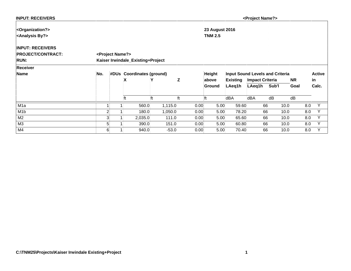| <b>INPUT: RECEIVERS</b>         |                |                              |                                   |         |    |      |                       |                 | <project name?=""></project> |                                        |           |               |
|---------------------------------|----------------|------------------------------|-----------------------------------|---------|----|------|-----------------------|-----------------|------------------------------|----------------------------------------|-----------|---------------|
| <organization?></organization?> |                |                              |                                   |         |    |      | <b>23 August 2016</b> |                 |                              |                                        |           |               |
| <analysis by?=""></analysis>    |                |                              |                                   |         |    |      | <b>TNM 2.5</b>        |                 |                              |                                        |           |               |
| <b>INPUT: RECEIVERS</b>         |                |                              |                                   |         |    |      |                       |                 |                              |                                        |           |               |
| <b>PROJECT/CONTRACT:</b>        |                | <project name?=""></project> |                                   |         |    |      |                       |                 |                              |                                        |           |               |
| <b>RUN:</b>                     |                |                              | Kaiser Irwindale_Existing+Project |         |    |      |                       |                 |                              |                                        |           |               |
| <b>Receiver</b>                 |                |                              |                                   |         |    |      |                       |                 |                              |                                        |           |               |
| Name                            | No.            |                              | #DUs Coordinates (ground)         |         |    |      | <b>Height</b>         |                 |                              | <b>Input Sound Levels and Criteria</b> |           | <b>Active</b> |
|                                 |                |                              | X                                 |         | Z  |      | above                 | <b>Existing</b> | <b>Impact Criteria</b>       |                                        | <b>NR</b> | lin.          |
|                                 |                |                              |                                   |         |    |      | Ground                | LAeq1h          | LAeq1h                       | Sub'l                                  | Goal      | Calc.         |
|                                 |                |                              | ft                                | lft     | ft | ft   |                       | dBA             | dBA                          | dB                                     | dB        |               |
| M <sub>1</sub> a                |                |                              | 560.0                             | 1,115.0 |    | 0.00 | 5.00                  | 59.60           | 66                           | 10.0                                   | 8.0       | Y             |
| M <sub>1</sub> b                | $\overline{2}$ |                              | 180.0                             | 1,050.0 |    | 0.00 | 5.00                  | 78.20           | 66                           | 10.0                                   | 8.0       | $\checkmark$  |
| M <sub>2</sub>                  | 3              |                              | 2,035.0                           | 111.0   |    | 0.00 | 5.00                  | 65.60           | 66                           | 10.0                                   | 8.0       | $\checkmark$  |
| M3                              | 5              |                              | 390.0                             | 151.0   |    | 0.00 | 5.00                  | 60.80           | 66                           | 10.0                                   | 8.0       | V             |
| M4                              | $6 \mid$       |                              | 940.0                             | $-53.0$ |    | 0.00 | 5.00                  | 70.40           | 66                           | 10.0                                   | 8.0       | Y             |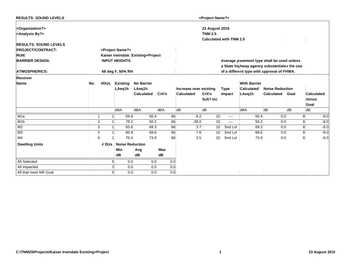| <b>RESULTS: SOUND LEVELS</b>    |                |       |                              |                                   |            |     |                        | <project name?=""></project> |                                |                                              |                        |      |                |                   |
|---------------------------------|----------------|-------|------------------------------|-----------------------------------|------------|-----|------------------------|------------------------------|--------------------------------|----------------------------------------------|------------------------|------|----------------|-------------------|
| <organization?></organization?> |                |       |                              |                                   |            |     |                        | <b>23 August 2016</b>        |                                |                                              |                        |      |                |                   |
| <analysis by?=""></analysis>    |                |       |                              |                                   |            |     |                        | <b>TNM 2.5</b>               |                                |                                              |                        |      |                |                   |
|                                 |                |       |                              |                                   |            |     |                        |                              | <b>Calculated with TNM 2.5</b> |                                              |                        |      |                |                   |
| <b>RESULTS: SOUND LEVELS</b>    |                |       |                              |                                   |            |     |                        |                              |                                |                                              |                        |      |                |                   |
| <b>PROJECT/CONTRACT:</b>        |                |       | <project name?=""></project> |                                   |            |     |                        |                              |                                |                                              |                        |      |                |                   |
| <b>RUN:</b>                     |                |       |                              | Kaiser Irwindale_Existing+Project |            |     |                        |                              |                                |                                              |                        |      |                |                   |
| <b>BARRIER DESIGN:</b>          |                |       | <b>INPUT HEIGHTS</b>         |                                   |            |     |                        |                              |                                | Average pavement type shall be used unless   |                        |      |                |                   |
|                                 |                |       |                              |                                   |            |     |                        |                              |                                | a State highway agency substantiates the use |                        |      |                |                   |
| <b>ATMOSPHERICS:</b>            |                |       | 68 deg F, 50% RH             |                                   |            |     |                        |                              |                                | of a different type with approval of FHWA.   |                        |      |                |                   |
| <b>Receiver</b>                 |                |       |                              |                                   |            |     |                        |                              |                                |                                              |                        |      |                |                   |
| <b>Name</b>                     | No.            | #DUs  | <b>Existing</b>              | <b>No Barrier</b>                 |            |     |                        |                              |                                | <b>With Barrier</b>                          |                        |      |                |                   |
|                                 |                |       | LAeq1h                       | LAeg1h                            |            |     | Increase over existing |                              | <b>Type</b>                    | Calculated                                   | <b>Noise Reduction</b> |      |                |                   |
|                                 |                |       |                              | <b>Calculated</b>                 | Crit'n     |     | <b>Calculated</b>      | Crit'n                       | Impact                         | LAeq1h                                       | <b>Calculated</b>      | Goal |                | <b>Calculated</b> |
|                                 |                |       |                              |                                   |            |     |                        | Sub'l Inc                    |                                |                                              |                        |      | minus          |                   |
|                                 |                |       |                              |                                   |            |     |                        |                              |                                |                                              |                        |      | Goal           |                   |
|                                 |                |       | dBA                          | dBA                               | dBA        |     | dB                     | dB                           |                                | dBA                                          | dB                     | dB   | dB             |                   |
| M <sub>1</sub> a                |                |       | 59.6                         | 50.4                              |            | 66  | $-9.2$                 | 10                           | $---$                          | 50.4                                         | 0.0                    |      | 8              | $-8.0$            |
| M <sub>1</sub> b                | $\mathbf{2}$   |       | 78.2                         | 50.2                              |            | 66  | $-28.0$                | 10                           | $---$                          | 50.2                                         | 0.0                    |      | 8              | $-8.0$            |
| M <sub>2</sub>                  | $\overline{3}$ |       | 65.6                         | 69.3                              |            | 66  | 3.7                    | 10                           | Snd Lvl                        | 69.3                                         | 0.0                    |      |                | $-8.0$            |
| M <sub>3</sub>                  | 5 <sup>1</sup> |       | 60.8                         | 68.6                              |            | 66  | 7.8                    | 10                           | Snd Lvl                        | 68.6                                         | 0.0                    |      | 8 <sup>1</sup> | $-8.0$            |
| M <sub>4</sub>                  | 6 <sup>1</sup> |       | 70.4                         | 73.9                              |            | 66  | 3.5                    | 10 <sup>1</sup>              | Snd Lvl                        | 73.9                                         | 0.0                    |      | 8 <sup>1</sup> | $-8.0$            |
| <b>Dwelling Units</b>           |                | # DUs | <b>Noise Reduction</b>       |                                   |            |     |                        |                              |                                |                                              |                        |      |                |                   |
|                                 |                |       | <b>Min</b>                   | Avg                               | <b>Max</b> |     |                        |                              |                                |                                              |                        |      |                |                   |
|                                 |                |       | dB                           | dB                                | dB         |     |                        |                              |                                |                                              |                        |      |                |                   |
| <b>All Selected</b>             |                |       | 5<br>0.0                     | 0.0                               |            | 0.0 |                        |                              |                                |                                              |                        |      |                |                   |
| All Impacted                    |                |       | 3<br>0.0                     | 0.0                               |            | 0.0 |                        |                              |                                |                                              |                        |      |                |                   |
| All that meet NR Goal           |                |       | $\Omega$<br>0.0              | 0.0                               |            | 0.0 |                        |                              |                                |                                              |                        |      |                |                   |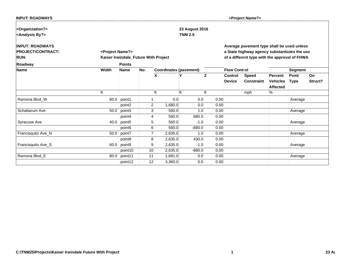| <b>INPUT: ROADWAYS</b>          |                              |                                      |     |                               |                |      |                     | <project name?=""></project>                  |                 |         |         |
|---------------------------------|------------------------------|--------------------------------------|-----|-------------------------------|----------------|------|---------------------|-----------------------------------------------|-----------------|---------|---------|
| <organization?></organization?> |                              |                                      |     |                               | 23 August 2016 |      |                     |                                               |                 |         |         |
| <analysis by?=""></analysis>    |                              |                                      |     |                               | <b>TNM 2.5</b> |      |                     |                                               |                 |         |         |
| <b>INPUT: ROADWAYS</b>          |                              |                                      |     |                               |                |      |                     | Average pavement type shall be used unless    |                 |         |         |
| <b>PROJECT/CONTRACT:</b>        | <project name?=""></project> |                                      |     |                               |                |      |                     | a State highway agency substantiates the use  |                 |         |         |
| <b>RUN:</b>                     |                              | Kaiser Irwindale_Future With Project |     |                               |                |      |                     | of a different type with the approval of FHWA |                 |         |         |
| Roadway                         |                              | <b>Points</b>                        |     |                               |                |      |                     |                                               |                 |         |         |
| <b>Name</b>                     | Width                        | <b>Name</b>                          | No. | <b>Coordinates (pavement)</b> |                |      | <b>Flow Control</b> |                                               |                 | Segment |         |
|                                 |                              |                                      |     | χ                             | γ              | z    | Control             | Speed                                         | Percent         | Pvmt    | ∣On     |
|                                 |                              |                                      |     |                               |                |      | <b>Device</b>       | <b>Constraint</b>                             | <b>Vehicles</b> | Type    | Struct? |
|                                 |                              |                                      |     |                               |                |      |                     |                                               | <b>Affected</b> |         |         |
|                                 | lft                          |                                      |     | ft                            | ft             | ft   |                     | mph                                           | ℅               |         |         |
| Ramona Blvd_W                   |                              | $80.0$ point1                        | 1   | 0.0                           | 0.0            | 0.00 |                     |                                               |                 | Average |         |
|                                 |                              | point2                               | 2   | 1,680.0                       | 0.0            | 0.00 |                     |                                               |                 |         |         |
| Schabarum Ave                   | 50.0                         | point3                               | 3   | 560.0                         | 1.0            | 0.00 |                     |                                               |                 | Average |         |
|                                 |                              | point4                               | Δ   | 560.0                         | 880.0          | 0.00 |                     |                                               |                 |         |         |
| Syracuse Ave                    | 40.0                         | point <sub>5</sub>                   | 5   | 560.0                         | $-1.0$         | 0.00 |                     |                                               |                 | Average |         |
|                                 |                              | point <sub>6</sub>                   | 6   | 560.0                         | $-880.0$       | 0.00 |                     |                                               |                 |         |         |
| Francisquito Ave_N              |                              | 50.0 point7                          |     | 2,635.0                       | 1.0            | 0.00 |                     |                                               |                 | Average |         |
|                                 |                              | point8                               | 8   | 2,635.0                       | 430.0          | 0.00 |                     |                                               |                 |         |         |
| Francisquito Ave_S              | 60.0                         | point9                               | 9   | 2,635.0                       | $-1.0$         | 0.00 |                     |                                               |                 | Average |         |
|                                 |                              | point10                              | 10  | 2,635.0                       | $-880.0$       | 0.00 |                     |                                               |                 |         |         |
| Ramona Blvd_E                   | 80.0                         | point11                              | 11  | 1,681.0                       | 0.0            | 0.00 |                     |                                               |                 | Average |         |
|                                 |                              | point12                              | 12  | 3,360.0                       | 0.0            | 0.00 |                     |                                               |                 |         |         |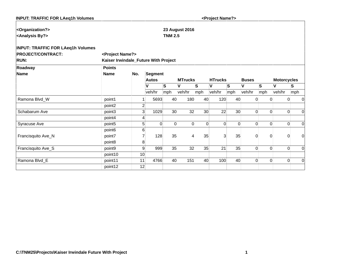| <b>INPUT: TRAFFIC FOR LAeq1h Volumes</b> |                                      |                |              |                 |                       |          | <project name?=""></project> |                 |                |                |                    |             |
|------------------------------------------|--------------------------------------|----------------|--------------|-----------------|-----------------------|----------|------------------------------|-----------------|----------------|----------------|--------------------|-------------|
|                                          |                                      |                |              |                 |                       |          |                              |                 |                |                |                    |             |
| <organization?></organization?>          |                                      |                |              |                 | <b>23 August 2016</b> |          |                              |                 |                |                |                    |             |
| <analysis by?=""></analysis>             |                                      |                |              | <b>TNM 2.5</b>  |                       |          |                              |                 |                |                |                    |             |
| <b>INPUT: TRAFFIC FOR LAeq1h Volumes</b> |                                      |                |              |                 |                       |          |                              |                 |                |                |                    |             |
| <b>PROJECT/CONTRACT:</b>                 | <project name?=""></project>         |                |              |                 |                       |          |                              |                 |                |                |                    |             |
| <b>RUN:</b>                              | Kaiser Irwindale_Future With Project |                |              |                 |                       |          |                              |                 |                |                |                    |             |
| Roadway                                  | <b>Points</b>                        |                |              |                 |                       |          |                              |                 |                |                |                    |             |
| Name                                     | <b>Name</b>                          | No.            | Segment      |                 |                       |          |                              |                 |                |                |                    |             |
|                                          |                                      |                | <b>Autos</b> |                 | <b>MTrucks</b>        |          | <b>HTrucks</b>               |                 | <b>Buses</b>   |                | <b>Motorcycles</b> |             |
|                                          |                                      |                | V            | ls.             | V                     | ls       | V                            | S               | V              | <b>S</b>       | V                  | ls.         |
|                                          |                                      |                | veh/hr       | mph             | veh/hr                | mph      | veh/hr                       | mph             | veh/hr         | mph            | veh/hr             | mph         |
| Ramona Blvd_W                            | point1                               |                | 5693         | 40              | 180                   | 40       | 120                          | 40              | $\Omega$       | $\Omega$       | $\Omega$           | 0           |
|                                          | point2                               | $\overline{2}$ |              |                 |                       |          |                              |                 |                |                |                    |             |
| Schabarum Ave                            | point3                               | 3              | 1029         | 30 <sup>°</sup> | 32                    | 30       | 22                           | 30 <sup>°</sup> | $\Omega$       | $\Omega$       | $\Omega$           | 0           |
|                                          | point4                               | 4              |              |                 |                       |          |                              |                 |                |                |                    |             |
| Syracuse Ave                             | point <sub>5</sub>                   | 5              | $\Omega$     | $\Omega$        | $\Omega$              | $\Omega$ | $\overline{0}$               | $\Omega$        | $\Omega$       | $\Omega$       | $\Omega$           | 0           |
|                                          | point <sub>6</sub>                   | 6              |              |                 |                       |          |                              |                 |                |                |                    |             |
| Francisquito Ave_N                       | point7                               |                | 128          | 35              | 4                     | 35       | $\overline{3}$               | 35              | $\Omega$       | $\overline{0}$ | $\Omega$           | $\mathbf 0$ |
|                                          | point <sub>8</sub>                   | 8              |              |                 |                       |          |                              |                 |                |                |                    |             |
| Francisquito Ave_S                       | point9                               | 9              | 999          | 35              | 32                    | 35       | 21                           | 35              | $\Omega$       | $\Omega$       | $\Omega$           | 0           |
|                                          | point10                              | 10             |              |                 |                       |          |                              |                 |                |                |                    |             |
| Ramona Blvd_E                            | point11                              | 11             | 4766         | 40              | 151                   | 40       | 100                          | 40              | $\overline{0}$ | $\overline{0}$ | $\Omega$           | 0           |
|                                          | point12                              | 12             |              |                 |                       |          |                              |                 |                |                |                    |             |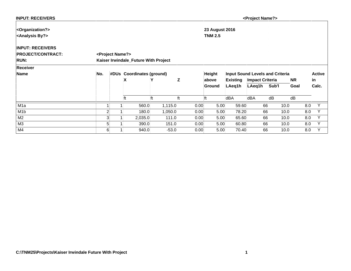| <b>INPUT: RECEIVERS</b>         |                |                              |                                      |         |   |      |                       |                 | <project name?=""></project> |                                        |           |               |
|---------------------------------|----------------|------------------------------|--------------------------------------|---------|---|------|-----------------------|-----------------|------------------------------|----------------------------------------|-----------|---------------|
| <organization?></organization?> |                |                              |                                      |         |   |      | <b>23 August 2016</b> |                 |                              |                                        |           |               |
| <analysis by?=""></analysis>    |                |                              |                                      |         |   |      | <b>TNM 2.5</b>        |                 |                              |                                        |           |               |
| <b>INPUT: RECEIVERS</b>         |                |                              |                                      |         |   |      |                       |                 |                              |                                        |           |               |
| <b>PROJECT/CONTRACT:</b>        |                | <project name?=""></project> |                                      |         |   |      |                       |                 |                              |                                        |           |               |
| <b>RUN:</b>                     |                |                              | Kaiser Irwindale_Future With Project |         |   |      |                       |                 |                              |                                        |           |               |
| <b>Receiver</b>                 |                |                              |                                      |         |   |      |                       |                 |                              |                                        |           |               |
| Name                            | No.            |                              | #DUs Coordinates (ground)            |         |   |      | <b>Height</b>         |                 |                              | <b>Input Sound Levels and Criteria</b> |           | <b>Active</b> |
|                                 |                |                              | χ                                    |         | 7 |      | above                 | <b>Existing</b> | <b>Impact Criteria</b>       |                                        | <b>NR</b> | in            |
|                                 |                |                              |                                      |         |   |      | Ground                | LAeq1h          | LAeq1h                       | Sub'l                                  | Goal      | Calc.         |
|                                 |                |                              | ft                                   | lft     |   | ft   |                       | dBA             | dBA                          | dB                                     | dB        |               |
| M <sub>1</sub> a                |                |                              | 560.0                                | 1,115.0 |   | 0.00 | 5.00                  | 59.60           | 66                           | 10.0                                   | 8.0       | Y             |
| M <sub>1</sub> b                | $\overline{2}$ |                              | 180.0                                | 1,050.0 |   | 0.00 | 5.00                  | 78.20           | 66                           | 10.0                                   | 8.0       | V             |
| M <sub>2</sub>                  | 3 <sub>l</sub> |                              | 2,035.0                              | 111.0   |   | 0.00 | 5.00                  | 65.60           | 66                           | 10.0                                   | 8.0       |               |
| M3                              | 5              |                              | 390.0                                | 151.0   |   | 0.00 | 5.00                  | 60.80           | 66                           | 10.0                                   | 8.0       | $\checkmark$  |
| M4                              | $6 \mid$       |                              | 940.0                                | $-53.0$ |   | 0.00 | 5.00                  | 70.40           | 66                           | 10.0                                   | 8.0       | Y             |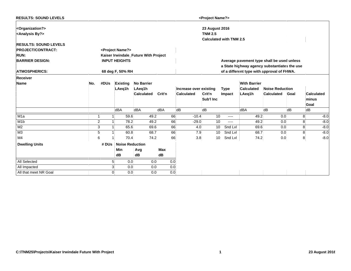| <b>RESULTS: SOUND LEVELS</b>                                     |                |                |                              |                                      |            |     |                        | <project name?=""></project>            |         |                                              |                        |      |                          |
|------------------------------------------------------------------|----------------|----------------|------------------------------|--------------------------------------|------------|-----|------------------------|-----------------------------------------|---------|----------------------------------------------|------------------------|------|--------------------------|
| <organization?><br/><analysis by?=""></analysis></organization?> |                |                |                              |                                      |            |     |                        | <b>23 August 2016</b><br><b>TNM 2.5</b> |         |                                              |                        |      |                          |
|                                                                  |                |                |                              |                                      |            |     |                        | <b>Calculated with TNM 2.5</b>          |         |                                              |                        |      |                          |
| <b>RESULTS: SOUND LEVELS</b>                                     |                |                |                              |                                      |            |     |                        |                                         |         |                                              |                        |      |                          |
| <b>PROJECT/CONTRACT:</b>                                         |                |                | <project name?=""></project> |                                      |            |     |                        |                                         |         |                                              |                        |      |                          |
| <b>RUN:</b>                                                      |                |                |                              | Kaiser Irwindale_Future With Project |            |     |                        |                                         |         |                                              |                        |      |                          |
| <b>BARRIER DESIGN:</b>                                           |                |                | <b>INPUT HEIGHTS</b>         |                                      |            |     |                        |                                         |         | Average pavement type shall be used unless   |                        |      |                          |
|                                                                  |                |                |                              |                                      |            |     |                        |                                         |         | a State highway agency substantiates the use |                        |      |                          |
| <b>ATMOSPHERICS:</b>                                             |                |                | 68 deg F, 50% RH             |                                      |            |     |                        |                                         |         | of a different type with approval of FHWA.   |                        |      |                          |
| <b>Receiver</b>                                                  |                |                |                              |                                      |            |     |                        |                                         |         |                                              |                        |      |                          |
| <b>Name</b>                                                      | No.            | #DUs           | <b>Existing</b>              | <b>No Barrier</b>                    |            |     |                        |                                         |         | <b>With Barrier</b>                          |                        |      |                          |
|                                                                  |                |                | LAeq1h                       | LAeg1h                               |            |     | Increase over existing |                                         | Type    | Calculated                                   | <b>Noise Reduction</b> |      |                          |
|                                                                  |                |                |                              | <b>Calculated</b>                    | Crit'n     |     | Calculated             | Crit'n                                  | Impact  | LAeq1h                                       | <b>Calculated</b>      | Goal | <b>Calculated</b>        |
|                                                                  |                |                |                              |                                      |            |     |                        | Sub'l Inc                               |         |                                              |                        |      | minus                    |
|                                                                  |                |                |                              |                                      |            |     |                        |                                         |         |                                              |                        |      | Goal                     |
|                                                                  |                |                | dBA                          | dBA                                  | dBA        |     | dB                     | dB                                      |         | dBA                                          | dB                     | dB   | dB                       |
| M <sub>1</sub> a                                                 |                |                | 59.6                         | 49.2                                 |            | 66  | $-10.4$                | 10                                      | ----    | 49.2                                         | 0.0                    |      | $-8.0$<br>8 <sup>1</sup> |
| M <sub>1</sub> b                                                 | $\overline{2}$ |                | 78.2                         | 49.2                                 |            | 66  | $-29.0$                | 10                                      | ----    | 49.2                                         | 0.0                    |      | $-8.0$<br>8              |
| M <sub>2</sub>                                                   | 3              |                | 65.6                         | 69.6                                 |            | 66  | 4.0                    | 10                                      | Snd Lvl | 69.6                                         | 0.0                    |      | $-8.0$<br>8              |
| M <sub>3</sub>                                                   | 5              |                | 60.8                         | 68.7                                 |            | 66  | 7.9                    | 10                                      | Snd Lvl | 68.7                                         | 0.0                    |      | $-8.0$<br>8              |
| M <sub>4</sub>                                                   | 6 <sup>1</sup> |                | 70.4                         | 74.2                                 |            | 66  | 3.8                    | 10                                      | Snd Lvl | 74.2                                         | 0.0                    |      | $-8.0$<br>8 <sup>1</sup> |
| <b>Dwelling Units</b>                                            |                | # DUs          | <b>Noise Reduction</b>       |                                      |            |     |                        |                                         |         |                                              |                        |      |                          |
|                                                                  |                |                | Min                          | Avg                                  | <b>Max</b> |     |                        |                                         |         |                                              |                        |      |                          |
|                                                                  |                |                | dB                           | dB                                   | dB         |     |                        |                                         |         |                                              |                        |      |                          |
| All Selected                                                     |                | 5 <sup>1</sup> | 0.0                          |                                      | 0.0        | 0.0 |                        |                                         |         |                                              |                        |      |                          |
| All Impacted                                                     |                | $\overline{3}$ | 0.0                          |                                      | 0.0        | 0.0 |                        |                                         |         |                                              |                        |      |                          |
| All that meet NR Goal                                            |                | $\Omega$       | 0.0                          |                                      | 0.0        | 0.0 |                        |                                         |         |                                              |                        |      |                          |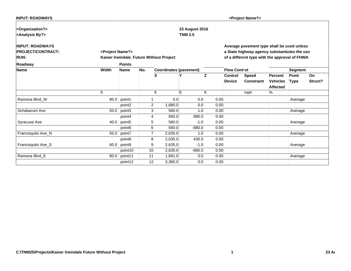| <b>INPUT: ROADWAYS</b>          |                              |                    |                |                                         |                  |      |                     | <project name?=""></project>                  |                 |             |         |
|---------------------------------|------------------------------|--------------------|----------------|-----------------------------------------|------------------|------|---------------------|-----------------------------------------------|-----------------|-------------|---------|
| <organization?></organization?> |                              |                    |                |                                         | 23 August 2016   |      |                     |                                               |                 |             |         |
| <analysis by?=""></analysis>    |                              |                    |                |                                         | <b>TNM 2.5</b>   |      |                     |                                               |                 |             |         |
| <b>INPUT: ROADWAYS</b>          |                              |                    |                |                                         |                  |      |                     | Average pavement type shall be used unless    |                 |             |         |
| <b>PROJECT/CONTRACT:</b>        | <project name?=""></project> |                    |                |                                         |                  |      |                     | a State highway agency substantiates the use  |                 |             |         |
| <b>RUN:</b>                     |                              |                    |                | Kaiser Irwindale_Future Without Project |                  |      |                     | of a different type with the approval of FHWA |                 |             |         |
| Roadway                         |                              | <b>Points</b>      |                |                                         |                  |      |                     |                                               |                 |             |         |
| <b>Name</b>                     | Width                        | <b>Name</b>        | No.            | <b>Coordinates (pavement)</b>           |                  |      | <b>Flow Control</b> |                                               |                 | Segment     |         |
|                                 |                              |                    |                | ΙX                                      | Y                | IZ.  | <b>Control</b>      | <b>Speed</b>                                  | Percent         | Pvmt        | On      |
|                                 |                              |                    |                |                                         |                  |      | <b>Device</b>       | <b>Constraint</b>                             | <b>Vehicles</b> | <b>Type</b> | Struct? |
|                                 |                              |                    |                |                                         |                  |      |                     |                                               | <b>Affected</b> |             |         |
|                                 | ft                           |                    |                | ft                                      | lft              | lft  |                     | mph                                           | %               |             |         |
| Ramona Blvd_W                   | 80.0                         | point1             |                | 0.0                                     | 0.0              | 0.00 |                     |                                               |                 | Average     |         |
|                                 |                              | point <sub>2</sub> | $\overline{2}$ | 1,680.0                                 | 0.0 <sub>1</sub> | 0.00 |                     |                                               |                 |             |         |
| Schabarum Ave                   | 50.0                         | point3             | 3              | 560.0                                   | 1.0              | 0.00 |                     |                                               |                 | Average     |         |
|                                 |                              | point4             | 4              | 560.0                                   | 880.0            | 0.00 |                     |                                               |                 |             |         |
| Syracuse Ave                    | 40.0                         | point <sub>5</sub> | 5              | 560.0                                   | $-1.0$           | 0.00 |                     |                                               |                 | Average     |         |
|                                 |                              | point <sub>6</sub> | 6              | 560.0                                   | $-880.0$         | 0.00 |                     |                                               |                 |             |         |
| Francisquito Ave_N              | 50.0                         | point7             | $\overline{7}$ | 2,635.0                                 | 1.0              | 0.00 |                     |                                               |                 | Average     |         |
|                                 |                              | point8             | 8              | 2,635.0                                 | 430.0            | 0.00 |                     |                                               |                 |             |         |
| Francisquito Ave_S              | 60.0                         | point9             | 9              | 2,635.0                                 | $-1.0$           | 0.00 |                     |                                               |                 | Average     |         |
|                                 |                              | point10            | 10             | 2,635.0                                 | $-880.0$         | 0.00 |                     |                                               |                 |             |         |
| Ramona Blvd_E                   | 80.0                         | point11            | 11             | 1,681.0                                 | 0.0              | 0.00 |                     |                                               |                 | Average     |         |
|                                 |                              | point12            | 12             | 3,360.0                                 | 0.0              | 0.00 |                     |                                               |                 |             |         |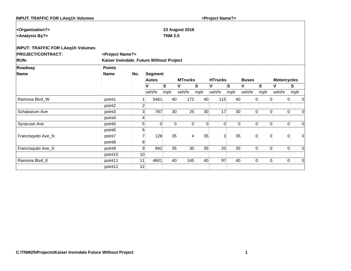| <b>INPUT: TRAFFIC FOR LAeq1h Volumes</b> |                                         |                |                |                |                       |                 | <project name?=""></project> |          |                |          |                    |                  |             |
|------------------------------------------|-----------------------------------------|----------------|----------------|----------------|-----------------------|-----------------|------------------------------|----------|----------------|----------|--------------------|------------------|-------------|
| <organization?></organization?>          |                                         |                |                |                | <b>23 August 2016</b> |                 |                              |          |                |          |                    |                  |             |
| <analysis by?=""></analysis>             |                                         |                |                | <b>TNM 2.5</b> |                       |                 |                              |          |                |          |                    |                  |             |
|                                          |                                         |                |                |                |                       |                 |                              |          |                |          |                    |                  |             |
| <b>INPUT: TRAFFIC FOR LAeq1h Volumes</b> |                                         |                |                |                |                       |                 |                              |          |                |          |                    |                  |             |
| <b>PROJECT/CONTRACT:</b>                 | <project name?=""></project>            |                |                |                |                       |                 |                              |          |                |          |                    |                  |             |
| <b>RUN:</b>                              | Kaiser Irwindale_Future Without Project |                |                |                |                       |                 |                              |          |                |          |                    |                  |             |
| Roadway                                  | <b>Points</b>                           |                |                |                |                       |                 |                              |          |                |          |                    |                  |             |
| Name                                     | <b>Name</b>                             | No.            | <b>Segment</b> |                |                       |                 |                              |          |                |          |                    |                  |             |
|                                          |                                         |                | <b>Autos</b>   |                | <b>MTrucks</b>        |                 | <b>HTrucks</b>               |          | <b>Buses</b>   |          | <b>Motorcycles</b> |                  |             |
|                                          |                                         |                | V              | ls.            | V                     | lS.             | V                            | S        | V              | lS.      | V                  | S                |             |
|                                          |                                         |                | veh/hr         | mph            | veh/hr                | mph             | veh/hr                       | mph      | veh/hr         | mph      | veh/hr             | mph              |             |
| Ramona Blvd_W                            | point1                                  |                | 5461           | 40             | 172                   | 40              | 115                          | 40       | $\Omega$       | $\Omega$ |                    | 0                | 0           |
|                                          | point2                                  | $\overline{2}$ |                |                |                       |                 |                              |          |                |          |                    |                  |             |
| Schabarum Ave                            | point3                                  | 3 <sub>l</sub> | 787            | 30             | 25                    | 30 <sup>°</sup> | 17                           | 30       | $\Omega$       | $\Omega$ |                    | $\Omega$         | $\Omega$    |
|                                          | point4                                  | 4              |                |                |                       |                 |                              |          |                |          |                    |                  |             |
| Syracuse Ave                             | point <sub>5</sub>                      | 5              | $\Omega$       | $\Omega$       | $\Omega$              | $\Omega$        | $\Omega$                     | $\Omega$ | $\Omega$       | 0        |                    | 0                | $\mathbf 0$ |
|                                          | point <sub>6</sub>                      | 6              |                |                |                       |                 |                              |          |                |          |                    |                  |             |
| Francisquito Ave_N                       | point7                                  |                | 128            | 35             | 4                     | 35              | $\overline{3}$               | 35       | $\Omega$       | $\Omega$ |                    | 0                | $\mathbf 0$ |
|                                          | point8                                  | 8              |                |                |                       |                 |                              |          |                |          |                    |                  |             |
| Francisquito Ave_S                       | point9                                  | 9              | 942            | 35             | 30                    | 35              | 20                           | 35       | $\Omega$       | 0        |                    | 0                | 0           |
|                                          | point10                                 | 10             |                |                |                       |                 |                              |          |                |          |                    |                  |             |
| Ramona Blvd_E                            | point11                                 | 11             | 4601           | 40             | 145                   | 40              | 97                           | 40       | $\overline{0}$ | 0        |                    | $\boldsymbol{0}$ | 0           |
|                                          | point12                                 | 12             |                |                |                       |                 |                              |          |                |          |                    |                  |             |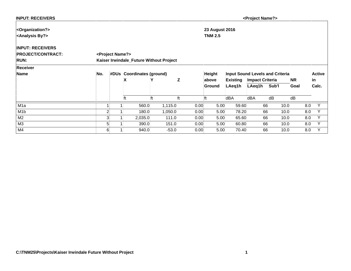| <b>INPUT: RECEIVERS</b>         |                |                              |                           |                                         |   |      |                       |                 | <project name?=""></project> |                                        |           |               |
|---------------------------------|----------------|------------------------------|---------------------------|-----------------------------------------|---|------|-----------------------|-----------------|------------------------------|----------------------------------------|-----------|---------------|
| <organization?></organization?> |                |                              |                           |                                         |   |      | <b>23 August 2016</b> |                 |                              |                                        |           |               |
| <analysis by?=""></analysis>    |                |                              |                           |                                         |   |      | <b>TNM 2.5</b>        |                 |                              |                                        |           |               |
| <b>INPUT: RECEIVERS</b>         |                |                              |                           |                                         |   |      |                       |                 |                              |                                        |           |               |
| <b>PROJECT/CONTRACT:</b>        |                | <project name?=""></project> |                           |                                         |   |      |                       |                 |                              |                                        |           |               |
| <b>RUN:</b>                     |                |                              |                           | Kaiser Irwindale_Future Without Project |   |      |                       |                 |                              |                                        |           |               |
| <b>Receiver</b>                 |                |                              |                           |                                         |   |      |                       |                 |                              |                                        |           |               |
| Name                            | No.            |                              | #DUs Coordinates (ground) |                                         |   |      | <b>Height</b>         |                 |                              | <b>Input Sound Levels and Criteria</b> |           | <b>Active</b> |
|                                 |                |                              | X                         |                                         | Z |      | above                 | <b>Existing</b> | <b>Impact Criteria</b>       |                                        | <b>NR</b> | lin.          |
|                                 |                |                              |                           |                                         |   |      | Ground                | LAeq1h          | LAeq1h                       | Sub'l                                  | Goal      | Calc.         |
|                                 |                |                              | ft                        | lft                                     |   | ft   |                       | dBA             | dBA                          | dB                                     | dB        |               |
| M <sub>1</sub> a                |                |                              | 560.0                     | 1,115.0                                 |   | 0.00 | 5.00                  | 59.60           | 66                           | 10.0                                   | 8.0       | Y             |
| M <sub>1</sub> b                | $\overline{2}$ |                              | 180.0                     | 1,050.0                                 |   | 0.00 | 5.00                  | 78.20           | 66                           | 10.0                                   | 8.0       | $\checkmark$  |
| M <sub>2</sub>                  | 3              |                              | 2,035.0                   | 111.0                                   |   | 0.00 | 5.00                  | 65.60           | 66                           | 10.0                                   | 8.0       | $\checkmark$  |
| M3                              | 5              |                              | 390.0                     | 151.0                                   |   | 0.00 | 5.00                  | 60.80           | 66                           | 10.0                                   | 8.0       | V             |
| M4                              | $6 \mid$       |                              | 940.0                     | $-53.0$                                 |   | 0.00 | 5.00                  | 70.40           | 66                           | 10.0                                   | 8.0       | Y             |